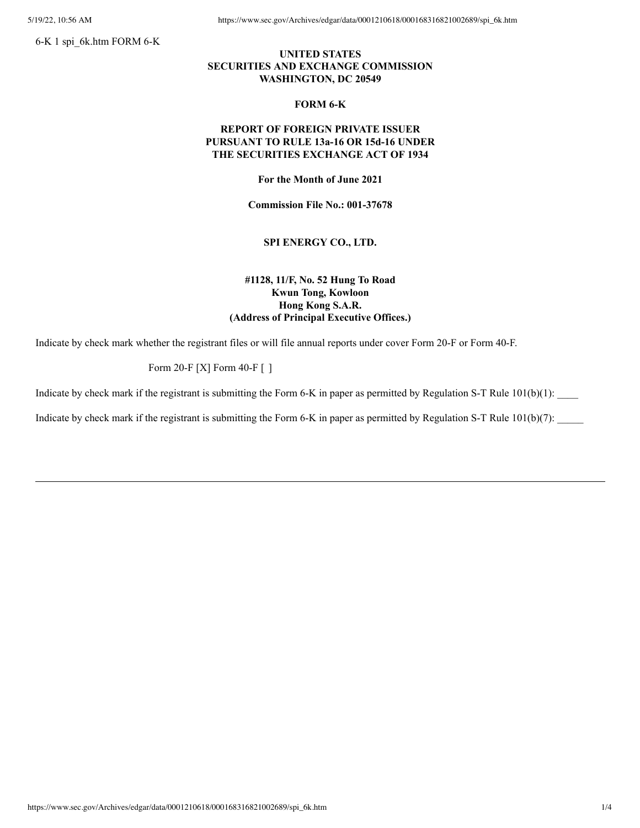6-K 1 spi\_6k.htm FORM 6-K

5/19/22, 10:56 AM https://www.sec.gov/Archives/edgar/data/0001210618/000168316821002689/spi 6k.htm

## **UNITED STATES SECURITIES AND EXCHANGE COMMISSION WASHINGTON, DC 20549**

#### **FORM 6-K**

## **REPORT OF FOREIGN PRIVATE ISSUER PURSUANT TO RULE 13a-16 OR 15d-16 UNDER THE SECURITIES EXCHANGE ACT OF 1934**

**For the Month of June 2021**

**Commission File No.: 001-37678**

### **SPI ENERGY CO., LTD.**

## **#1128, 11/F, No. 52 Hung To Road Kwun Tong, Kowloon Hong Kong S.A.R. (Address of Principal Executive Offices.)**

Indicate by check mark whether the registrant files or will file annual reports under cover Form 20-F or Form 40-F.

# Form 20-F [X] Form 40-F [ ]

Indicate by check mark if the registrant is submitting the Form 6-K in paper as permitted by Regulation S-T Rule  $101(b)(1)$ :

Indicate by check mark if the registrant is submitting the Form 6-K in paper as permitted by Regulation S-T Rule  $101(b)(7)$ :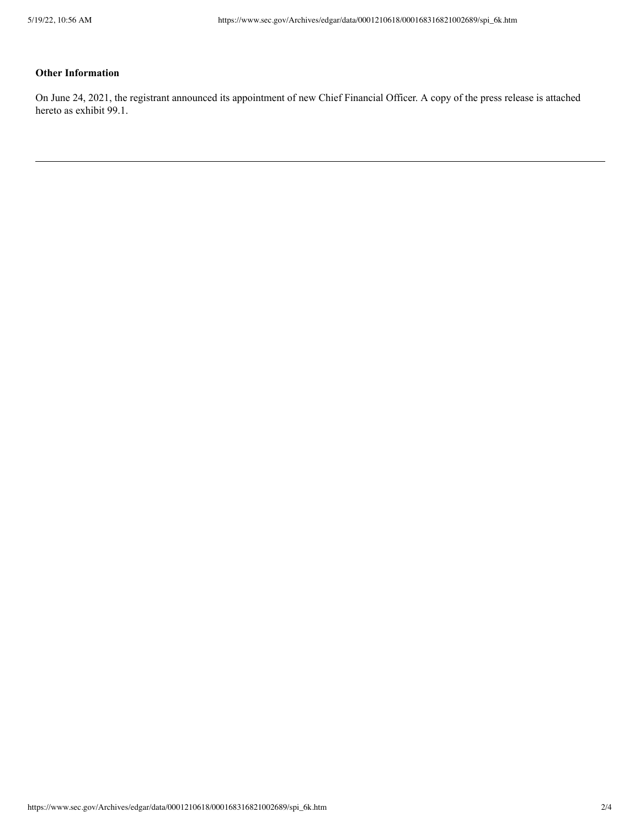# **Other Information**

On June 24, 2021, the registrant announced its appointment of new Chief Financial Officer. A copy of the press release is attached hereto as exhibit 99.1.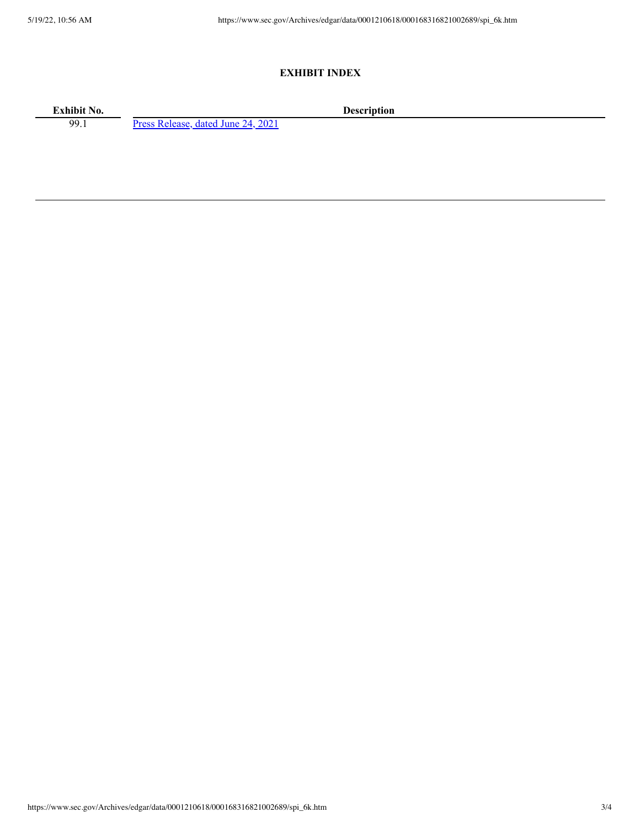### **EXHIBIT INDEX**

**Exhibit No. Description**<br>99.1 **Press Release, dated June 24, 2021 Description** 

Press [Release,](https://www.sec.gov/Archives/edgar/data/0001210618/000168316821002689/spi_6k-ex9901.htm) dated June 24, 2021